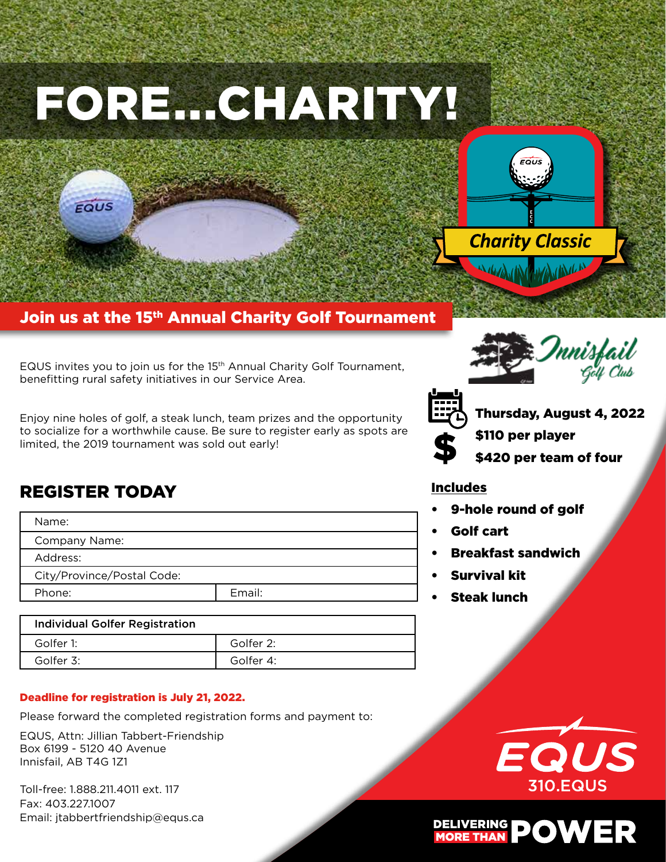# FORE...CHARITY!



Join us at the 15<sup>th</sup> Annual Charity Golf Tournament

EQUS invites you to join us for the 15<sup>th</sup> Annual Charity Golf Tournament, benefitting rural safety initiatives in our Service Area.

Enjoy nine holes of golf, a steak lunch, team prizes and the opportunity to socialize for a worthwhile cause. Be sure to register early as spots are limited, the 2019 tournament was sold out early!





Thursday, August 4, 2022

- \$110 per player
- \$420 per team of four

#### Includes

- 9-hole round of golf
- Golf cart
- Breakfast sandwich
- Survival kit
- **Steak lunch**

# REGISTER TODAY

EQUS

| Name:                      |        |
|----------------------------|--------|
| Company Name:              |        |
| Address:                   |        |
| City/Province/Postal Code: |        |
| Phone:                     | Email: |
|                            |        |

| <b>Individual Golfer Registration</b> |           |
|---------------------------------------|-----------|
| Golfer 1:                             | Golfer 2: |
| Golfer 3:                             | Golfer 4: |

#### Deadline for registration is July 21, 2022.

Please forward the completed registration forms and payment to:

EQUS, Attn: Jillian Tabbert-Friendship Box 6199 - 5120 40 Avenue Innisfail, AB T4G 1Z1

Toll-free: 1.888.211.4011 ext. 117 Fax: 403.227.1007 Email: jtabbertfriendship@equs.ca



# DELIVERING POWER